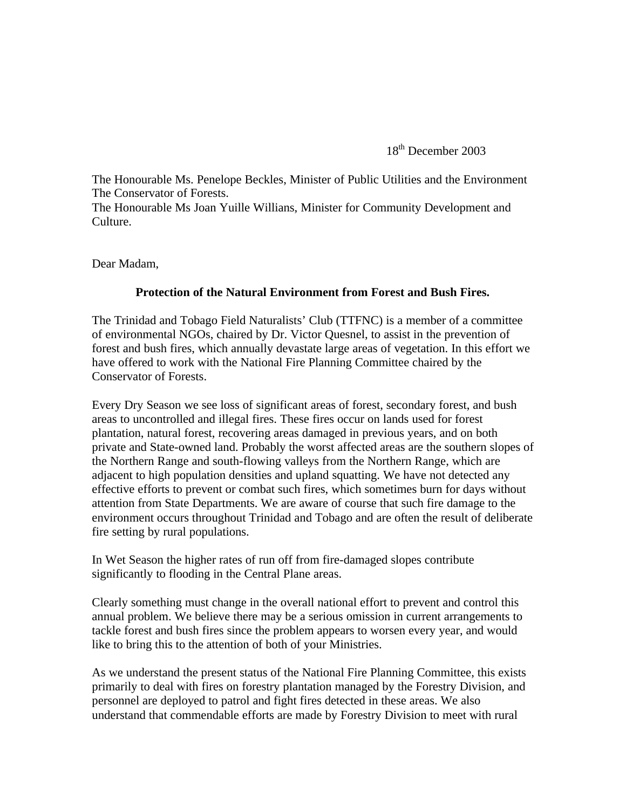18<sup>th</sup> December 2003

The Honourable Ms. Penelope Beckles, Minister of Public Utilities and the Environment The Conservator of Forests.

The Honourable Ms Joan Yuille Willians, Minister for Community Development and Culture.

Dear Madam,

## **Protection of the Natural Environment from Forest and Bush Fires.**

The Trinidad and Tobago Field Naturalists' Club (TTFNC) is a member of a committee of environmental NGOs, chaired by Dr. Victor Quesnel, to assist in the prevention of forest and bush fires, which annually devastate large areas of vegetation. In this effort we have offered to work with the National Fire Planning Committee chaired by the Conservator of Forests.

Every Dry Season we see loss of significant areas of forest, secondary forest, and bush areas to uncontrolled and illegal fires. These fires occur on lands used for forest plantation, natural forest, recovering areas damaged in previous years, and on both private and State-owned land. Probably the worst affected areas are the southern slopes of the Northern Range and south-flowing valleys from the Northern Range, which are adjacent to high population densities and upland squatting. We have not detected any effective efforts to prevent or combat such fires, which sometimes burn for days without attention from State Departments. We are aware of course that such fire damage to the environment occurs throughout Trinidad and Tobago and are often the result of deliberate fire setting by rural populations.

In Wet Season the higher rates of run off from fire-damaged slopes contribute significantly to flooding in the Central Plane areas.

Clearly something must change in the overall national effort to prevent and control this annual problem. We believe there may be a serious omission in current arrangements to tackle forest and bush fires since the problem appears to worsen every year, and would like to bring this to the attention of both of your Ministries.

As we understand the present status of the National Fire Planning Committee, this exists primarily to deal with fires on forestry plantation managed by the Forestry Division, and personnel are deployed to patrol and fight fires detected in these areas. We also understand that commendable efforts are made by Forestry Division to meet with rural